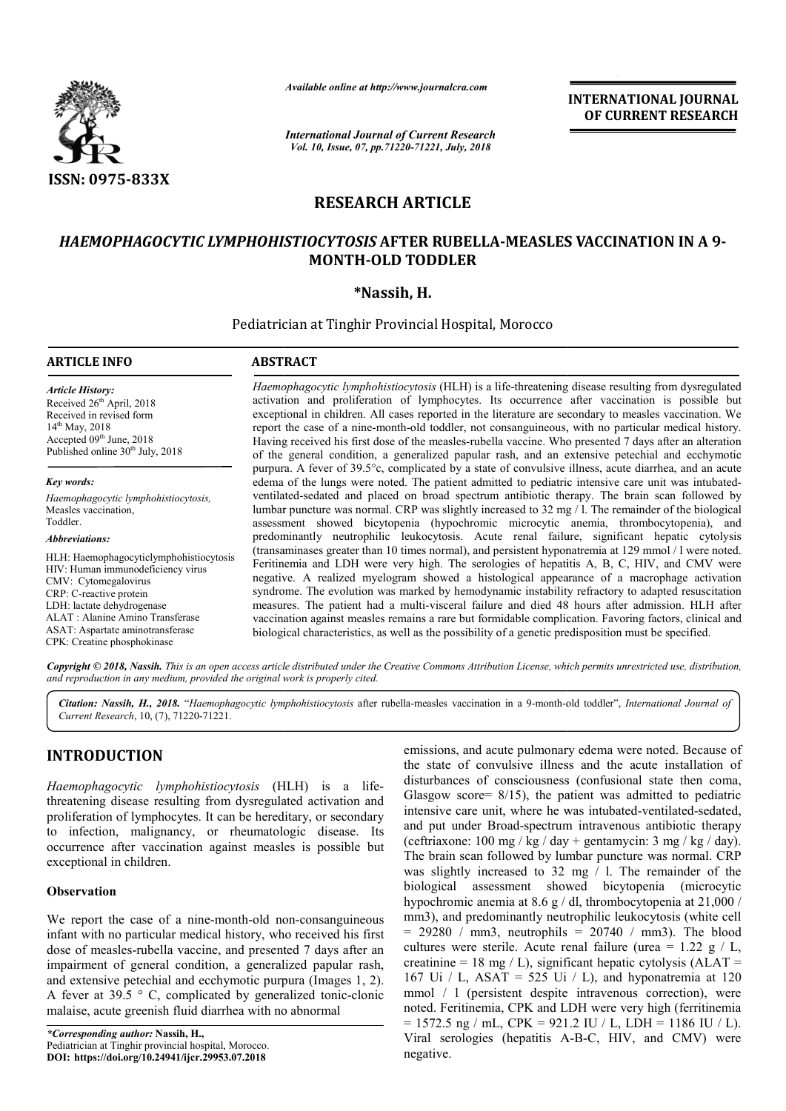

*Available online at http://www.journalcra.com*

*International Journal of Current Research Vol. 10, Issue, 07, pp.71220-71221, July, 2018*

**INTERNATIONAL JOURNAL OF CURRENT RESEARCH**

# **RESEARCH ARTICLE**

## *HAEMOPHAGOCYTIC LYMPHOHISTIOCYTOSIS* **AFTER RUBELLA-MEASLES VACCINATION IN A 9 MEASLES 9- MONTH-OLD TODDLER**

## **\*Nassih, H.**

Pediatrician at Tinghir Provincial Hospital, Morocco

### **ARTICLE INFO ABSTRACT**

*Article History:* Received 26<sup>th</sup> April, 2018 Received in revised form 14th May, 2018 Accepted 09<sup>th</sup> June, 2018 Published online 30<sup>th</sup> July, 2018

*Key words: Haemophagocytic lymphohistiocytosis,* Measles vaccination, Toddler.

*Abbreviations:*

HLH: Haemophagocyticlymphohistiocytosis HIV: Human immunodeficiency virus CMV: Cytomegalovirus CRP: C-reactive protein LDH: lactate dehydrogenase ALAT : Alanine Amino Transferase ASAT: Aspartate aminotransferase CPK: Creatine phosphokinase

*Haemophagocytic lymphohistiocytosis* (HLH) is a life-threatening disease resulting from dysregulated activation and proliferation of lymphocytes. Its occurrence after vaccination is possible but exceptional in children. A All cases reported in the literature are secondary to measles vaccination. We report the case of a nine-month-old toddler, not consanguineous, with no particular medical history. Having received his first dose of the measles-rubella vaccine. Who presented 7 of the general condition, a generalized papular rash, and an extensive petechial and ecchymotic purpura. A fever of 39.5°c, complicated by a state of convulsive illness, acute diarrhea, and an acute purpura. A fever of 39.5°c, complicated by a state of convulsive illness, acute diarrhea, and an acute edema of the lungs were noted. The patient admitted to pediatric intensive care unit was intubatedventilated ventilated-sedated and placed on broad spectrum antibiotic therapy. The brain scan followed by ventilated-sedated and placed on broad spectrum antibiotic therapy. The brain scan followed by lumbar puncture was normal. CRP was slightly increased to  $32 \text{ mg}/1$ . The remainder of the biological assessment showed bicytopenia (hypochromic microcytic anemia, thrombocytopenia), and predominantly neutrophilic leukocytosis. Acute renal failure, significant hepatic cytolysis (transaminases greater than 10 times normal), and persistent hy hyponatremia at 129 mmol / l were noted. Feritinemia and LDH were very high. The serologies of hepatitis A, B, C, HIV, and CMV were negative. A realized myelogram showed a histological appearance of a macrophage activation syndrome. The evolution was marked by hemodynamic instability refractory to adapted resuscitation measures. The patient had a multi-visceral failure and died 48 hours after admission. HLH after vaccination against measles remains a rare but formidable complication. Favoring factors, clinica biological characteristics, as well as the possibility of a genetic predisposition must be specified. Haemophagocytic lymphohistiocytosis (HLH) is a life-threatening disease resulting from dysregulated activation and proliferation of lymphocytes. Its occurrence after vaccination is possible but exceptional in children. All assessment showed bicytopenia (hypochromic microcytic anemia, thrombocytopenia), and<br>predominantly neutrophilic leukocytosis. Acute renal failure, significant hepatic cytolysis<br>(transaminases greater than 10 times normal),

Copyright © 2018, Nassih. This is an open access article distributed under the Creative Commons Attribution License, which permits unrestricted use, distribution, *and reproduction in any medium, provided the original work is properly cited.*

Citation: Nassih, H., 2018. "Haemophagocytic lymphohistiocytosis after rubella-measles vaccination in a 9-month-old toddler", *International Journal of Current Research*, 10, (7), 71220-71221.

# **INTRODUCTION**

Haemophagocytic lymphohistiocytosis (HLH) is a lifethreatening disease resulting from dysregulated activation and proliferation of lymphocytes. It can be hereditary, or secondary to infection, malignancy, or rheumatologic disease. Its occurrence after vaccination against measles is possible but exceptional in children.

## **Observation**

We report the case of a nine-month-old non-consanguineous infant with no particular medical history, who received his first dose of measles-rubella vaccine, and presented 7 days after an impairment of general condition, a generalized papular rash, and extensive petechial and ecchymotic purpura (Images 1, 2). A fever at 39.5  $\degree$  C, complicated impairment of general condition, a generalized papular rash, and extensive petechial and ecchymotic purpura (Images 1, 2). A fever at 39.5  $\degree$  C, complicated by generalized tonic-clonic malaise, acute greenish fluid diarrhea with no abnormal

emissions, and acute pulmonary edema were noted. Because of the state of convulsive illness and the acute installation of disturbances of consciousness (confusional state then coma, Glasgow score=  $8/15$ ), the patient was admitted to pediatric intensive care unit, where he was intubated-ventilated-sedated, and put under Broad-spectrum intravenous antibiotic therapy (ceftriaxone:  $100 \text{ mg}$  / kg / day + gentamycin:  $3 \text{ mg}$  / kg / day). The brain scan followed by lumbar puncture was normal. CRP was slightly increased to 32 mg / l. The remainder of the biological assessment showed bicytopenia (microcytic hypochromic anemia at 8.6 g / dl, thrombocytopenia at 21,000 / mm3), and predominantly neutrophilic leukocytosis (white cell (ceftriaxone: 100 mg / kg / day + gentamycin: 3 mg / kg / day).<br>The brain scan followed by lumbar puncture was normal. CRP<br>was slightly increased to 32 mg / 1. The remainder of the<br>biological assessment showed bicytopenia cultures were sterile. Acute renal failure (urea =  $1.22 \text{ g} / \text{L}$ , creatinine = 18 mg / L), significant hepatic cytolysis ( $ALAT$  = 167 Ui / L, ASAT = 525 Ui / L), and hyponatremia at 120 creatinine = 18 mg / L), significant hepatic cytolysis (ALAT = 167 Ui / L, ASAT = 525 Ui / L), and hyponatremia at 120 mmol / 1 (persistent despite intravenous correction), were noted. Feritinemia, CPK and LDH were very high (ferritinemia  $= 1572.5$  ng / mL, CPK = 921.2 IU / L, LDH = 1186 IU / L). noted. Feritinemia, CPK and LDH were very high (ferritinemia = 1572.5 ng / mL, CPK = 921.2 IU / L, LDH = 1186 IU / L). Viral serologies (hepatitis A-B-C, HIV, and CMV) were negative. emissions, and acute pulmonary edema were noted. Because of the state of convulsive illness and the acute installation of disturbances of consciousness (confusional state then coma, Glasgow score= 8/15), the patient was ad